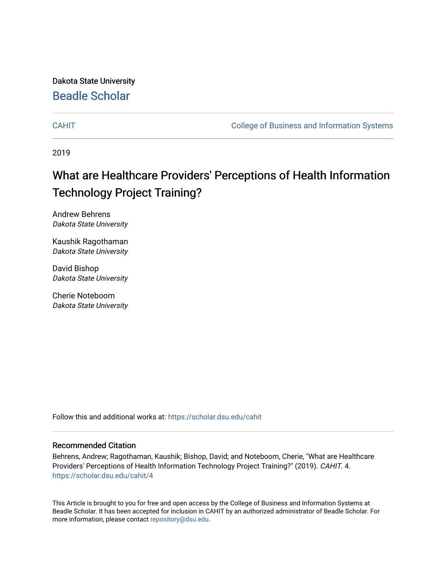Dakota State University [Beadle Scholar](https://scholar.dsu.edu/)

[CAHIT](https://scholar.dsu.edu/cahit) [College of Business and Information Systems](https://scholar.dsu.edu/biscollege) 

2019

# What are Healthcare Providers' Perceptions of Health Information Technology Project Training?

Andrew Behrens Dakota State University

Kaushik Ragothaman Dakota State University

David Bishop Dakota State University

Cherie Noteboom Dakota State University

Follow this and additional works at: [https://scholar.dsu.edu/cahit](https://scholar.dsu.edu/cahit?utm_source=scholar.dsu.edu%2Fcahit%2F4&utm_medium=PDF&utm_campaign=PDFCoverPages) 

#### Recommended Citation

Behrens, Andrew; Ragothaman, Kaushik; Bishop, David; and Noteboom, Cherie, "What are Healthcare Providers' Perceptions of Health Information Technology Project Training?" (2019). CAHIT. 4. [https://scholar.dsu.edu/cahit/4](https://scholar.dsu.edu/cahit/4?utm_source=scholar.dsu.edu%2Fcahit%2F4&utm_medium=PDF&utm_campaign=PDFCoverPages)

This Article is brought to you for free and open access by the College of Business and Information Systems at Beadle Scholar. It has been accepted for inclusion in CAHIT by an authorized administrator of Beadle Scholar. For more information, please contact [repository@dsu.edu.](mailto:repository@dsu.edu)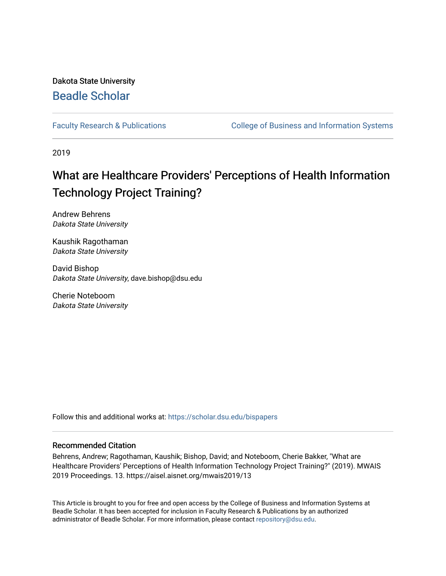## Dakota State University [Beadle Scholar](https://scholar.dsu.edu/)

[Faculty Research & Publications](https://scholar.dsu.edu/bispapers) **College of Business and Information Systems** 

2019

# What are Healthcare Providers' Perceptions of Health Information Technology Project Training?

Andrew Behrens Dakota State University

Kaushik Ragothaman Dakota State University

David Bishop Dakota State University, dave.bishop@dsu.edu

Cherie Noteboom Dakota State University

Follow this and additional works at: [https://scholar.dsu.edu/bispapers](https://scholar.dsu.edu/bispapers?utm_source=scholar.dsu.edu%2Fbispapers%2F67&utm_medium=PDF&utm_campaign=PDFCoverPages)

#### Recommended Citation

Behrens, Andrew; Ragothaman, Kaushik; Bishop, David; and Noteboom, Cherie Bakker, "What are Healthcare Providers' Perceptions of Health Information Technology Project Training?" (2019). MWAIS 2019 Proceedings. 13. https://aisel.aisnet.org/mwais2019/13

This Article is brought to you for free and open access by the College of Business and Information Systems at Beadle Scholar. It has been accepted for inclusion in Faculty Research & Publications by an authorized administrator of Beadle Scholar. For more information, please contact [repository@dsu.edu.](mailto:repository@dsu.edu)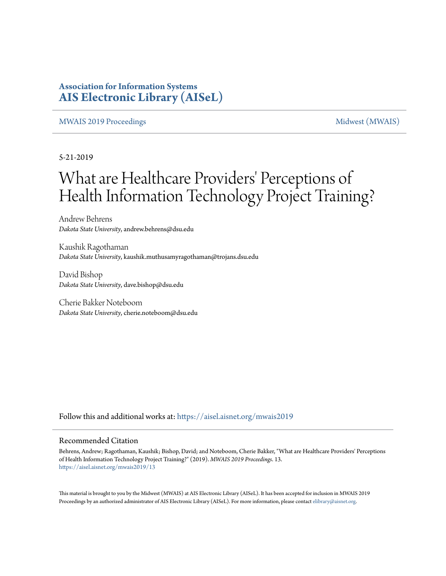### **Association for Information Systems [AIS Electronic Library \(AISeL\)](https://aisel.aisnet.org?utm_source=aisel.aisnet.org%2Fmwais2019%2F13&utm_medium=PDF&utm_campaign=PDFCoverPages)**

#### [MWAIS 2019 Proceedings](https://aisel.aisnet.org/mwais2019?utm_source=aisel.aisnet.org%2Fmwais2019%2F13&utm_medium=PDF&utm_campaign=PDFCoverPages) and the matrix of the [Midwest \(MWAIS\)](https://aisel.aisnet.org/mwais?utm_source=aisel.aisnet.org%2Fmwais2019%2F13&utm_medium=PDF&utm_campaign=PDFCoverPages)

5-21-2019

# What are Healthcare Providers' Perceptions of Health Information Technology Project Training?

Andrew Behrens *Dakota State University*, andrew.behrens@dsu.edu

Kaushik Ragothaman *Dakota State University*, kaushik.muthusamyragothaman@trojans.dsu.edu

David Bishop *Dakota State University*, dave.bishop@dsu.edu

Cherie Bakker Noteboom *Dakota State University*, cherie.noteboom@dsu.edu

Follow this and additional works at: [https://aisel.aisnet.org/mwais2019](https://aisel.aisnet.org/mwais2019?utm_source=aisel.aisnet.org%2Fmwais2019%2F13&utm_medium=PDF&utm_campaign=PDFCoverPages)

#### Recommended Citation

Behrens, Andrew; Ragothaman, Kaushik; Bishop, David; and Noteboom, Cherie Bakker, "What are Healthcare Providers' Perceptions of Health Information Technology Project Training?" (2019). *MWAIS 2019 Proceedings*. 13. [https://aisel.aisnet.org/mwais2019/13](https://aisel.aisnet.org/mwais2019/13?utm_source=aisel.aisnet.org%2Fmwais2019%2F13&utm_medium=PDF&utm_campaign=PDFCoverPages)

This material is brought to you by the Midwest (MWAIS) at AIS Electronic Library (AISeL). It has been accepted for inclusion in MWAIS 2019 Proceedings by an authorized administrator of AIS Electronic Library (AISeL). For more information, please contact [elibrary@aisnet.org](mailto:elibrary@aisnet.org%3E).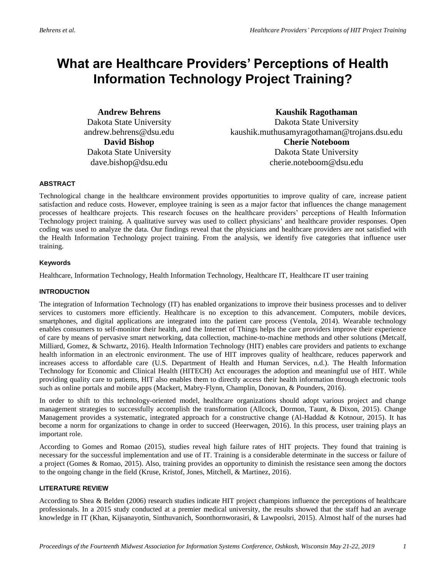## **What are Healthcare Providers' Perceptions of Health Information Technology Project Training?**

**Andrew Behrens** Dakota State University andrew.behrens@dsu.edu **David Bishop** Dakota State University dave.bishop@dsu.edu

**Kaushik Ragothaman** Dakota State University kaushik.muthusamyragothaman@trojans.dsu.edu **Cherie Noteboom** Dakota State University cherie.noteboom@dsu.edu

#### **ABSTRACT**

Technological change in the healthcare environment provides opportunities to improve quality of care, increase patient satisfaction and reduce costs. However, employee training is seen as a major factor that influences the change management processes of healthcare projects. This research focuses on the healthcare providers' perceptions of Health Information Technology project training. A qualitative survey was used to collect physicians' and healthcare provider responses. Open coding was used to analyze the data. Our findings reveal that the physicians and healthcare providers are not satisfied with the Health Information Technology project training. From the analysis, we identify five categories that influence user training.

#### **Keywords**

Healthcare, Information Technology, Health Information Technology, Healthcare IT, Healthcare IT user training

#### **INTRODUCTION**

The integration of Information Technology (IT) has enabled organizations to improve their business processes and to deliver services to customers more efficiently. Healthcare is no exception to this advancement. Computers, mobile devices, smartphones, and digital applications are integrated into the patient care process (Ventola, 2014). Wearable technology enables consumers to self-monitor their health, and the Internet of Things helps the care providers improve their experience of care by means of pervasive smart networking, data collection, machine-to-machine methods and other solutions (Metcalf, Milliard, Gomez, & Schwartz, 2016). Health Information Technology (HIT) enables care providers and patients to exchange health information in an electronic environment. The use of HIT improves quality of healthcare, reduces paperwork and increases access to affordable care (U.S. Department of Health and Human Services, n.d.). The Health Information Technology for Economic and Clinical Health (HITECH) Act encourages the adoption and meaningful use of HIT. While providing quality care to patients, HIT also enables them to directly access their health information through electronic tools such as online portals and mobile apps (Mackert, Mabry-Flynn, Champlin, Donovan, & Pounders, 2016).

In order to shift to this technology-oriented model, healthcare organizations should adopt various project and change management strategies to successfully accomplish the transformation (Allcock, Dormon, Taunt, & Dixon, 2015). Change Management provides a systematic, integrated approach for a constructive change (Al-Haddad & Kotnour, 2015). It has become a norm for organizations to change in order to succeed (Heerwagen, 2016). In this process, user training plays an important role.

According to Gomes and Romao (2015), studies reveal high failure rates of HIT projects. They found that training is necessary for the successful implementation and use of IT. Training is a considerable determinate in the success or failure of a project (Gomes & Romao, 2015). Also, training provides an opportunity to diminish the resistance seen among the doctors to the ongoing change in the field (Kruse, Kristof, Jones, Mitchell, & Martinez, 2016).

#### **LITERATURE REVIEW**

According to Shea & Belden (2006) research studies indicate HIT project champions influence the perceptions of healthcare professionals. In a 2015 study conducted at a premier medical university, the results showed that the staff had an average knowledge in IT (Khan, Kijsanayotin, Sinthuvanich, Soonthornworasiri, & Lawpoolsri, 2015). Almost half of the nurses had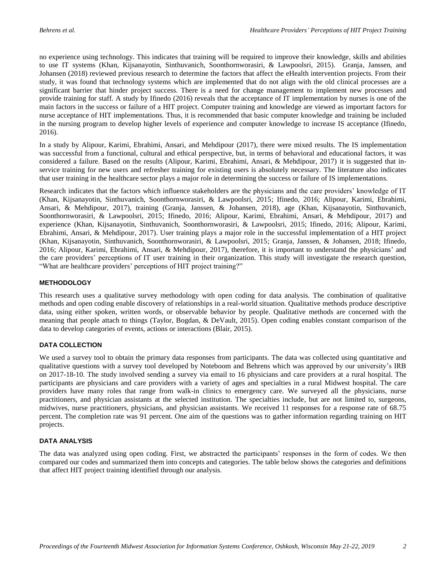no experience using technology. This indicates that training will be required to improve their knowledge, skills and abilities to use IT systems (Khan, Kijsanayotin, Sinthuvanich, Soonthornworasiri, & Lawpoolsri, 2015). Granja, Janssen, and Johansen (2018) reviewed previous research to determine the factors that affect the eHealth intervention projects. From their study, it was found that technology systems which are implemented that do not align with the old clinical processes are a significant barrier that hinder project success. There is a need for change management to implement new processes and provide training for staff. A study by Ifinedo (2016) reveals that the acceptance of IT implementation by nurses is one of the main factors in the success or failure of a HIT project. Computer training and knowledge are viewed as important factors for nurse acceptance of HIT implementations. Thus, it is recommended that basic computer knowledge and training be included in the nursing program to develop higher levels of experience and computer knowledge to increase IS acceptance (Ifinedo, 2016).

In a study by Alipour, Karimi, Ebrahimi, Ansari, and Mehdipour (2017), there were mixed results. The IS implementation was successful from a functional, cultural and ethical perspective, but, in terms of behavioral and educational factors, it was considered a failure. Based on the results (Alipour, Karimi, Ebrahimi, Ansari, & Mehdipour, 2017) it is suggested that inservice training for new users and refresher training for existing users is absolutely necessary. The literature also indicates that user training in the healthcare sector plays a major role in determining the success or failure of IS implementations.

Research indicates that the factors which influence stakeholders are the physicians and the care providers' knowledge of IT (Khan, Kijsanayotin, Sinthuvanich, Soonthornworasiri, & Lawpoolsri, 2015; Ifinedo, 2016; Alipour, Karimi, Ebrahimi, Ansari, & Mehdipour, 2017), training (Granja, Janssen, & Johansen, 2018), age (Khan, Kijsanayotin, Sinthuvanich, Soonthornworasiri, & Lawpoolsri, 2015; Ifinedo, 2016; Alipour, Karimi, Ebrahimi, Ansari, & Mehdipour, 2017) and experience (Khan, Kijsanayotin, Sinthuvanich, Soonthornworasiri, & Lawpoolsri, 2015; Ifinedo, 2016; Alipour, Karimi, Ebrahimi, Ansari, & Mehdipour, 2017). User training plays a major role in the successful implementation of a HIT project (Khan, Kijsanayotin, Sinthuvanich, Soonthornworasiri, & Lawpoolsri, 2015; Granja, Janssen, & Johansen, 2018; Ifinedo, 2016; Alipour, Karimi, Ebrahimi, Ansari, & Mehdipour, 2017), therefore, it is important to understand the physicians' and the care providers' perceptions of IT user training in their organization. This study will investigate the research question, "What are healthcare providers' perceptions of HIT project training?"

#### **METHODOLOGY**

This research uses a qualitative survey methodology with open coding for data analysis. The combination of qualitative methods and open coding enable discovery of relationships in a real-world situation. Qualitative methods produce descriptive data, using either spoken, written words, or observable behavior by people. Qualitative methods are concerned with the meaning that people attach to things (Taylor, Bogdan, & DeVault, 2015). Open coding enables constant comparison of the data to develop categories of events, actions or interactions (Blair, 2015).

#### **DATA COLLECTION**

We used a survey tool to obtain the primary data responses from participants. The data was collected using quantitative and qualitative questions with a survey tool developed by Noteboom and Behrens which was approved by our university's IRB on 2017-18-10. The study involved sending a survey via email to 16 physicians and care providers at a rural hospital. The participants are physicians and care providers with a variety of ages and specialties in a rural Midwest hospital. The care providers have many roles that range from walk-in clinics to emergency care. We surveyed all the physicians, nurse practitioners, and physician assistants at the selected institution. The specialties include, but are not limited to, surgeons, midwives, nurse practitioners, physicians, and physician assistants. We received 11 responses for a response rate of 68.75 percent. The completion rate was 91 percent. One aim of the questions was to gather information regarding training on HIT projects.

#### **DATA ANALYSIS**

The data was analyzed using open coding. First, we abstracted the participants' responses in the form of codes. We then compared our codes and summarized them into concepts and categories. The table below shows the categories and definitions that affect HIT project training identified through our analysis.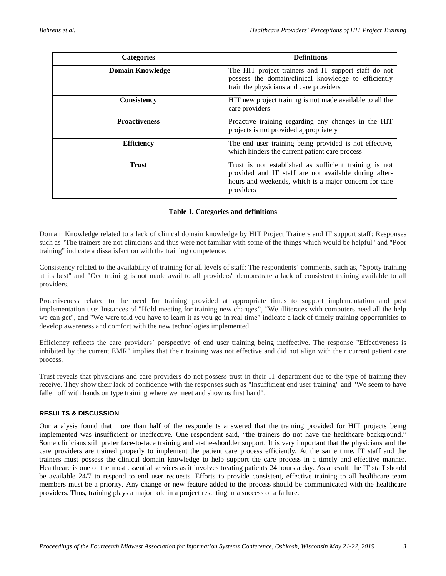| <b>Categories</b>       | <b>Definitions</b>                                                                                                                                                                    |
|-------------------------|---------------------------------------------------------------------------------------------------------------------------------------------------------------------------------------|
| <b>Domain Knowledge</b> | The HIT project trainers and IT support staff do not<br>possess the domain/clinical knowledge to efficiently<br>train the physicians and care providers                               |
| <b>Consistency</b>      | HIT new project training is not made available to all the<br>care providers                                                                                                           |
| <b>Proactiveness</b>    | Proactive training regarding any changes in the HIT<br>projects is not provided appropriately                                                                                         |
| <b>Efficiency</b>       | The end user training being provided is not effective,<br>which hinders the current patient care process                                                                              |
| <b>Trust</b>            | Trust is not established as sufficient training is not<br>provided and IT staff are not available during after-<br>hours and weekends, which is a major concern for care<br>providers |

#### **Table 1. Categories and definitions**

Domain Knowledge related to a lack of clinical domain knowledge by HIT Project Trainers and IT support staff: Responses such as "The trainers are not clinicians and thus were not familiar with some of the things which would be helpful" and "Poor training" indicate a dissatisfaction with the training competence.

Consistency related to the availability of training for all levels of staff: The respondents' comments, such as, "Spotty training at its best" and "Occ training is not made avail to all providers" demonstrate a lack of consistent training available to all providers.

Proactiveness related to the need for training provided at appropriate times to support implementation and post implementation use: Instances of "Hold meeting for training new changes", "We illiterates with computers need all the help we can get", and "We were told you have to learn it as you go in real time" indicate a lack of timely training opportunities to develop awareness and comfort with the new technologies implemented.

Efficiency reflects the care providers' perspective of end user training being ineffective. The response "Effectiveness is inhibited by the current EMR" implies that their training was not effective and did not align with their current patient care process.

Trust reveals that physicians and care providers do not possess trust in their IT department due to the type of training they receive. They show their lack of confidence with the responses such as "Insufficient end user training" and "We seem to have fallen off with hands on type training where we meet and show us first hand".

#### **RESULTS & DISCUSSION**

Our analysis found that more than half of the respondents answered that the training provided for HIT projects being implemented was insufficient or ineffective. One respondent said, "the trainers do not have the healthcare background." Some clinicians still prefer face-to-face training and at-the-shoulder support. It is very important that the physicians and the care providers are trained properly to implement the patient care process efficiently. At the same time, IT staff and the trainers must possess the clinical domain knowledge to help support the care process in a timely and effective manner. Healthcare is one of the most essential services as it involves treating patients 24 hours a day. As a result, the IT staff should be available 24/7 to respond to end user requests. Efforts to provide consistent, effective training to all healthcare team members must be a priority. Any change or new feature added to the process should be communicated with the healthcare providers. Thus, training plays a major role in a project resulting in a success or a failure.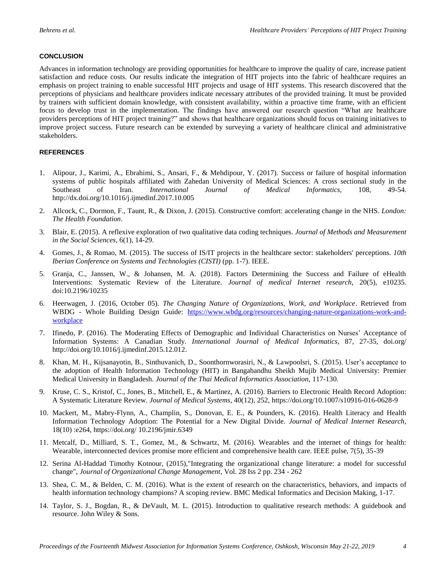#### **CONCLUSION**

Advances in information technology are providing opportunities for healthcare to improve the quality of care, increase patient satisfaction and reduce costs. Our results indicate the integration of HIT projects into the fabric of healthcare requires an emphasis on project training to enable successful HIT projects and usage of HIT systems. This research discovered that the perceptions of physicians and healthcare providers indicate necessary attributes of the provided training. It must be provided by trainers with sufficient domain knowledge, with consistent availability, within a proactive time frame, with an efficient focus to develop trust in the implementation. The findings have answered our research question "What are healthcare providers perceptions of HIT project training?" and shows that healthcare organizations should focus on training initiatives to improve project success. Future research can be extended by surveying a variety of healthcare clinical and administrative stakeholders.

#### **REFERENCES**

- 1. Alipour, J., Karimi, A., Ebrahimi, S., Ansari, F., & Mehdipour, Y. (2017). Success or failure of hospital information systems of public hospitals affiliated with Zahedan University of Medical Sciences: A cross sectional study in the Southeast of Iran. *International Journal of Medical Informatics*, 108, 49-54. http://dx.doi.org/10.1016/j.ijmedinf.2017.10.005
- 2. Allcock, C., Dormon, F., Taunt, R., & Dixon, J. (2015). Constructive comfort: accelerating change in the NHS. *London: The Health Foundation*.
- 3. Blair, E. (2015). A reflexive exploration of two qualitative data coding techniques. *Journal of Methods and Measurement in the Social Sciences*, 6(1), 14-29.
- 4. Gomes, J., & Romao, M. (2015). The success of IS/IT projects in the healthcare sector: stakeholders' perceptions. *10th Iberian Conference on Systems and Technologies (CISTI)* (pp. 1-7). IEEE.
- 5. Granja, C., Janssen, W., & Johansen, M. A. (2018). Factors Determining the Success and Failure of eHealth Interventions: Systematic Review of the Literature. *Journal of medical Internet research*, 20(5), e10235. doi:10.2196/10235
- 6. Heerwagen, J. (2016, October 05). *The Changing Nature of Organizations, Work, and Workplace*. Retrieved from WBDG - Whole Building Design Guide: [https://www.wbdg.org/resources/changing-nature-organizations-work-and](https://www.wbdg.org/resources/changing-nature-organizations-work-and-workplace)[workplace](https://www.wbdg.org/resources/changing-nature-organizations-work-and-workplace)
- 7. Ifinedo, P. (2016). The Moderating Effects of Demographic and Individual Characteristics on Nurses' Acceptance of Information Systems: A Canadian Study. *International Journal of Medical Informatics*, 87, 27-35, doi.org/ http://doi.org/10.1016/j.ijmedinf.2015.12.012.
- 8. Khan, M. H., Kijsanayotin, B., Sinthuvanich, D., Soonthornworasiri, N., & Lawpoolsri, S. (2015). User's acceptance to the adoption of Health Information Technology (HIT) in Bangabandhu Sheikh Mujib Medical University: Premier Medical University in Bangladesh. *Journal of the Thai Medical Informatics Association,* 117-130.
- 9. Kruse, C. S., Kristof, C., Jones, B., Mitchell, E., & Martinez, A. (2016). Barriers to Electronic Health Record Adoption: A Systematic Literature Review. *Journal of Medical Systems*, 40(12), 252, https://doi.org/10.1007/s10916-016-0628-9
- 10. Mackert, M., Mabry-Flynn, A., Champlin, S., Donovan, E. E., & Pounders, K. (2016). Health Literacy and Health Information Technology Adoption: The Potential for a New Digital Divide. *Journal of Medical Internet Research*, 18(10) :e264, https://doi.org/ 10.2196/jmir.6349
- 11. Metcalf, D., Milliard, S. T., Gomez, M., & Schwartz, M. (2016). Wearables and the internet of things for health: Wearable, interconnected devices promise more efficient and comprehensive health care. IEEE pulse, 7(5), 35-39
- 12. Serina Al-Haddad Timothy Kotnour, (2015),"Integrating the organizational change literature: a model for successful change", *Journal of Organizational Change Management*, Vol. 28 Iss 2 pp. 234 - 262
- 13. Shea, C. M., & Belden, C. M. (2016). What is the extent of research on the characteristics, behaviors, and impacts of health information technology champions? A scoping review. BMC Medical Informatics and Decision Making, 1-17.
- 14. Taylor, S. J., Bogdan, R., & DeVault, M. L. (2015). Introduction to qualitative research methods: A guidebook and resource. John Wiley & Sons.